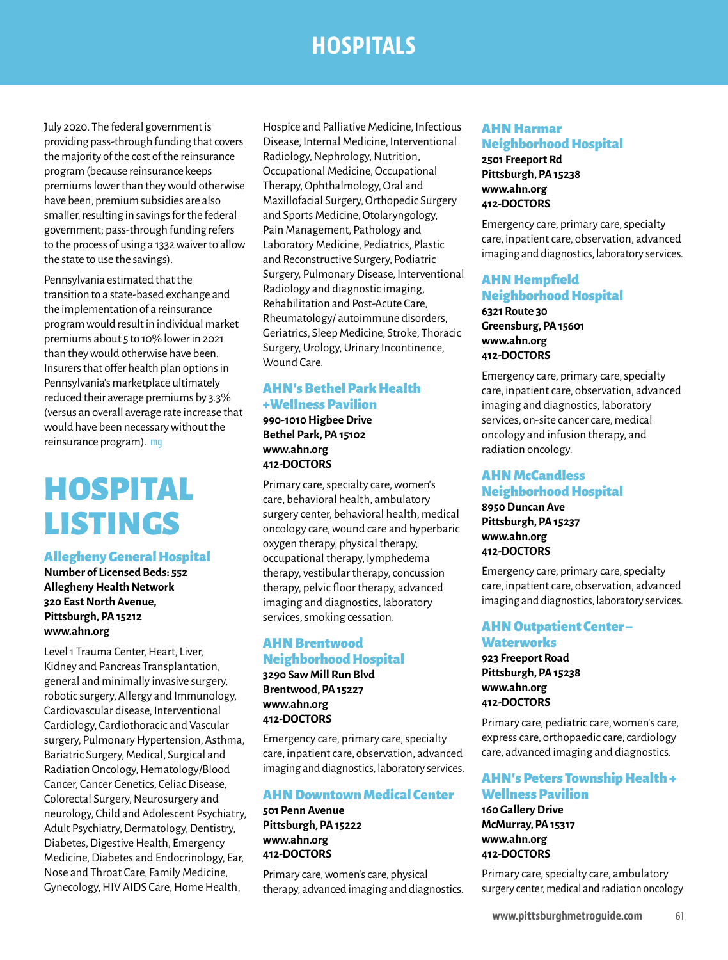July 2020. The federal government is providing pass-through funding that covers the majority of the cost of the reinsurance program (because reinsurance keeps premiums lower than they would otherwise have been, premium subsidies are also smaller, resulting in savings for the federal government; pass-through funding refers to the process of using a 1332 waiver to allow the state to use the savings).

Pennsylvania estimated that the transition to a state-based exchange and the implementation of a reinsurance program would result in individual market premiums about 5 to 10% lower in 2021 than they would otherwise have been. Insurers that offer health plan options in Pennsylvania's marketplace ultimately reduced their average premiums by 3.3% (versus an overall average rate increase that would have been necessary without the reinsurance program). mg

# HOSPITAL LISTINGS

Allegheny General Hospital

**Number of Licensed Beds: 552 Allegheny Health Network 320 East North Avenue, Pittsburgh, PA 15212 www.ahn.org**

Level 1 Trauma Center, Heart, Liver, Kidney and Pancreas Transplantation, general and minimally invasive surgery, robotic surgery, Allergy and Immunology, Cardiovascular disease, Interventional Cardiology, Cardiothoracic and Vascular surgery, Pulmonary Hypertension, Asthma, Bariatric Surgery, Medical, Surgical and Radiation Oncology, Hematology/Blood Cancer, Cancer Genetics, Celiac Disease, Colorectal Surgery, Neurosurgery and neurology, Child and Adolescent Psychiatry, Adult Psychiatry, Dermatology, Dentistry, Diabetes, Digestive Health, Emergency Medicine, Diabetes and Endocrinology, Ear, Nose and Throat Care, Family Medicine, Gynecology, HIV AIDS Care, Home Health,

Hospice and Palliative Medicine, Infectious Disease, Internal Medicine, Interventional Radiology, Nephrology, Nutrition, Occupational Medicine, Occupational Therapy, Ophthalmology, Oral and Maxillofacial Surgery, Orthopedic Surgery and Sports Medicine, Otolaryngology, Pain Management, Pathology and Laboratory Medicine, Pediatrics, Plastic and Reconstructive Surgery, Podiatric Surgery, Pulmonary Disease, Interventional Radiology and diagnostic imaging, Rehabilitation and Post-Acute Care, Rheumatology/ autoimmune disorders, Geriatrics, Sleep Medicine, Stroke, Thoracic Surgery, Urology, Urinary Incontinence, Wound Care.

# AHN's Bethel Park Health +Wellness Pavilion

**990-1010 Higbee Drive Bethel Park, PA 15102 www.ahn.org 412-DOCTORS**

Primary care, specialty care, women's care, behavioral health, ambulatory surgery center, behavioral health, medical oncology care, wound care and hyperbaric oxygen therapy, physical therapy, occupational therapy, lymphedema therapy, vestibular therapy, concussion therapy, pelvic floor therapy, advanced imaging and diagnostics, laboratory services, smoking cessation.

# AHN Brentwood Neighborhood Hospital **3290 Saw Mill Run Blvd Brentwood, PA 15227**

**www.ahn.org 412-DOCTORS**

Emergency care, primary care, specialty care, inpatient care, observation, advanced imaging and diagnostics, laboratory services.

# AHN Downtown Medical Center

**501 Penn Avenue Pittsburgh, PA 15222 www.ahn.org 412-DOCTORS**

Primary care, women's care, physical therapy, advanced imaging and diagnostics.

### AHN Harmar Neighborhood Hospital **2501 Freeport Rd Pittsburgh, PA 15238**

**www.ahn.org**

**412-DOCTORS** Emergency care, primary care, specialty care, inpatient care, observation, advanced imaging and diagnostics, laboratory services.

# AHN Hempfield

Neighborhood Hospital **6321 Route 30 Greensburg, PA 15601 www.ahn.org 412-DOCTORS**

Emergency care, primary care, specialty care, inpatient care, observation, advanced imaging and diagnostics, laboratory services, on-site cancer care, medical oncology and infusion therapy, and radiation oncology.

#### AHN McCandless Neighborhood Hospital

**8950 Duncan Ave Pittsburgh, PA 15237 www.ahn.org 412-DOCTORS**

Emergency care, primary care, specialty care, inpatient care, observation, advanced imaging and diagnostics, laboratory services.

#### AHN Outpatient Center – **Waterworks**

**923 Freeport Road Pittsburgh, PA 15238 www.ahn.org 412-DOCTORS**

Primary care, pediatric care, women's care, express care, orthopaedic care, cardiology care, advanced imaging and diagnostics.

# AHN's Peters Township Health + Wellness Pavilion

**160 Gallery Drive McMurray, PA 15317 www.ahn.org 412-DOCTORS**

Primary care, specialty care, ambulatory surgery center, medical and radiation oncology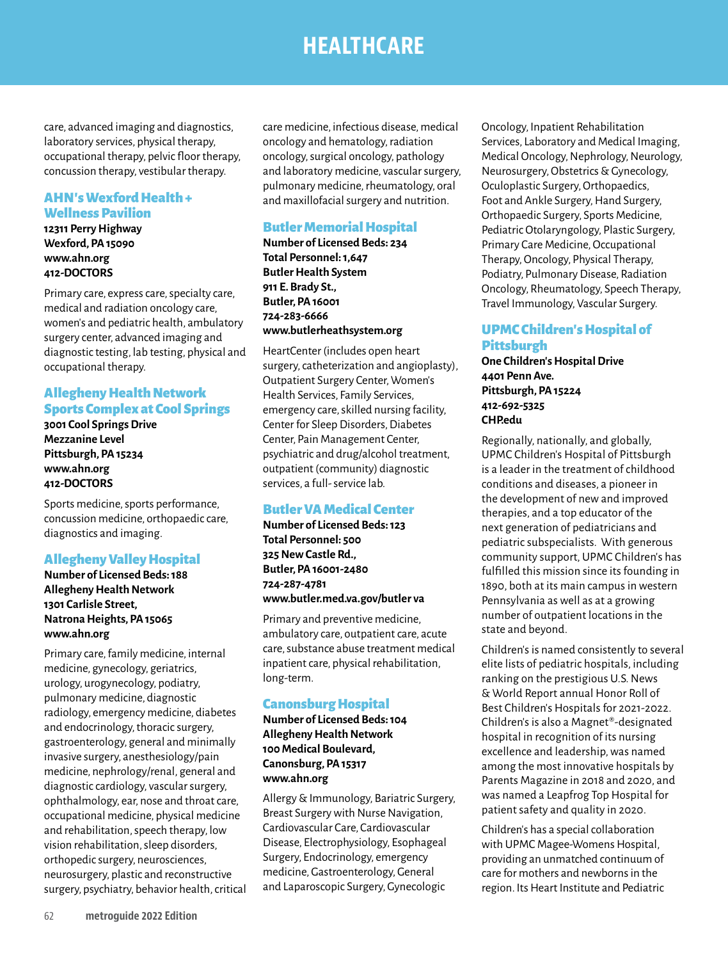# **HEALTHCARE**

care, advanced imaging and diagnostics, laboratory services, physical therapy, occupational therapy, pelvic floor therapy, concussion therapy, vestibular therapy.

# AHN's Wexford Health + Wellness Pavilion

**12311 Perry Highway Wexford, PA 15090 www.ahn.org 412-DOCTORS**

Primary care, express care, specialty care, medical and radiation oncology care, women's and pediatric health, ambulatory surgery center, advanced imaging and diagnostic testing, lab testing, physical and occupational therapy.

# Allegheny Health Network Sports Complex at Cool Springs

**3001 Cool Springs Drive Mezzanine Level Pittsburgh, PA 15234 www.ahn.org 412-DOCTORS**

Sports medicine, sports performance, concussion medicine, orthopaedic care, diagnostics and imaging.

# Allegheny Valley Hospital

**Number of Licensed Beds: 188 Allegheny Health Network 1301 Carlisle Street, Natrona Heights, PA 15065 www.ahn.org**

Primary care, family medicine, internal medicine, gynecology, geriatrics, urology, urogynecology, podiatry, pulmonary medicine, diagnostic radiology, emergency medicine, diabetes and endocrinology, thoracic surgery, gastroenterology, general and minimally invasive surgery, anesthesiology/pain medicine, nephrology/renal, general and diagnostic cardiology, vascular surgery, ophthalmology, ear, nose and throat care, occupational medicine, physical medicine and rehabilitation, speech therapy, low vision rehabilitation, sleep disorders, orthopedic surgery, neurosciences, neurosurgery, plastic and reconstructive surgery, psychiatry, behavior health, critical care medicine, infectious disease, medical oncology and hematology, radiation oncology, surgical oncology, pathology and laboratory medicine, vascular surgery, pulmonary medicine, rheumatology, oral and maxillofacial surgery and nutrition.

# Butler Memorial Hospital

**Number of Licensed Beds: 234 Total Personnel: 1,647 Butler Health System 911 E. Brady St., Butler, PA 16001 724-283-6666 www.butlerheathsystem.org**

HeartCenter (includes open heart surgery, catheterization and angioplasty), Outpatient Surgery Center, Women's Health Services, Family Services, emergency care, skilled nursing facility, Center for Sleep Disorders, Diabetes Center, Pain Management Center, psychiatric and drug/alcohol treatment, outpatient (community) diagnostic services, a full- service lab.

# Butler VA Medical Center

**Number of Licensed Beds: 123 Total Personnel: 500 325 New Castle Rd., Butler, PA 16001-2480 724-287-4781 www.butler.med.va.gov/butler va** 

Primary and preventive medicine, ambulatory care, outpatient care, acute care, substance abuse treatment medical inpatient care, physical rehabilitation, long-term.

# Canonsburg Hospital

**Number of Licensed Beds: 104 Allegheny Health Network 100 Medical Boulevard, Canonsburg, PA 15317 www.ahn.org**

Allergy & Immunology, Bariatric Surgery, Breast Surgery with Nurse Navigation, Cardiovascular Care, Cardiovascular Disease, Electrophysiology, Esophageal Surgery, Endocrinology, emergency medicine, Gastroenterology, General and Laparoscopic Surgery, Gynecologic

Oncology, Inpatient Rehabilitation Services, Laboratory and Medical Imaging, Medical Oncology, Nephrology, Neurology, Neurosurgery, Obstetrics & Gynecology, Oculoplastic Surgery, Orthopaedics, Foot and Ankle Surgery, Hand Surgery, Orthopaedic Surgery, Sports Medicine, Pediatric Otolaryngology, Plastic Surgery, Primary Care Medicine, Occupational Therapy, Oncology, Physical Therapy, Podiatry, Pulmonary Disease, Radiation Oncology, Rheumatology, Speech Therapy, Travel Immunology, Vascular Surgery.

# UPMC Children's Hospital of Pittsburgh

**One Children's Hospital Drive 4401 Penn Ave. Pittsburgh, PA 15224 412-692-5325 CHP.edu**

Regionally, nationally, and globally, UPMC Children's Hospital of Pittsburgh is a leader in the treatment of childhood conditions and diseases, a pioneer in the development of new and improved therapies, and a top educator of the next generation of pediatricians and pediatric subspecialists. With generous community support, UPMC Children's has fulfilled this mission since its founding in 1890, both at its main campus in western Pennsylvania as well as at a growing number of outpatient locations in the state and beyond.

Children's is named consistently to several elite lists of pediatric hospitals, including ranking on the prestigious U.S. News & World Report annual Honor Roll of Best Children's Hospitals for 2021-2022. Children's is also a Magnet®-designated hospital in recognition of its nursing excellence and leadership, was named among the most innovative hospitals by Parents Magazine in 2018 and 2020, and was named a Leapfrog Top Hospital for patient safety and quality in 2020.

Children's has a special collaboration with UPMC Magee-Womens Hospital, providing an unmatched continuum of care for mothers and newborns in the region. Its Heart Institute and Pediatric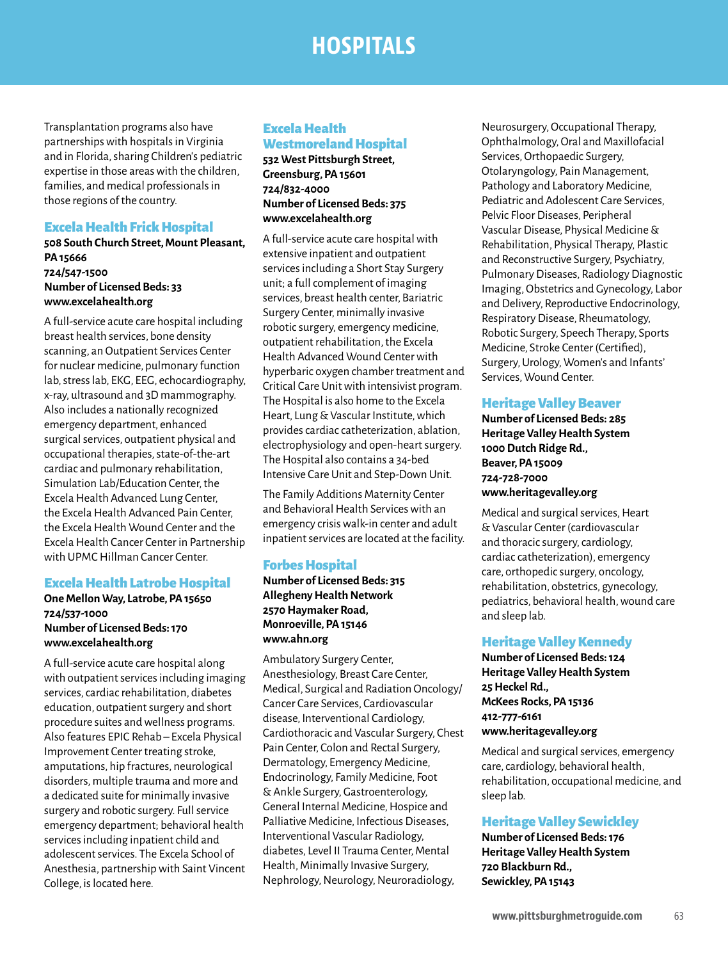Transplantation programs also have partnerships with hospitals in Virginia and in Florida, sharing Children's pediatric expertise in those areas with the children, families, and medical professionals in those regions of the country.

#### Excela Health Frick Hospital

**508 South Church Street, Mount Pleasant, PA 15666 724/547-1500 Number of Licensed Beds: 33 www.excelahealth.org**

A full-service acute care hospital including breast health services, bone density scanning, an Outpatient Services Center for nuclear medicine, pulmonary function lab, stress lab, EKG, EEG, echocardiography, x-ray, ultrasound and 3D mammography. Also includes a nationally recognized emergency department, enhanced surgical services, outpatient physical and occupational therapies, state-of-the-art cardiac and pulmonary rehabilitation, Simulation Lab/Education Center, the Excela Health Advanced Lung Center, the Excela Health Advanced Pain Center, the Excela Health Wound Center and the Excela Health Cancer Center in Partnership with UPMC Hillman Cancer Center.

#### Excela Health Latrobe Hospital

#### **One Mellon Way, Latrobe, PA 15650 724/537-1000 Number of Licensed Beds: 170 www.excelahealth.org**

A full-service acute care hospital along with outpatient services including imaging services, cardiac rehabilitation, diabetes education, outpatient surgery and short procedure suites and wellness programs. Also features EPIC Rehab – Excela Physical Improvement Center treating stroke, amputations, hip fractures, neurological disorders, multiple trauma and more and a dedicated suite for minimally invasive surgery and robotic surgery. Full service emergency department; behavioral health services including inpatient child and adolescent services. The Excela School of Anesthesia, partnership with Saint Vincent College, is located here.

### Excela Health Westmoreland Hospital

**532 West Pittsburgh Street, Greensburg, PA 15601 724/832-4000 Number of Licensed Beds: 375 www.excelahealth.org**

A full-service acute care hospital with extensive inpatient and outpatient services including a Short Stay Surgery unit; a full complement of imaging services, breast health center, Bariatric Surgery Center, minimally invasive robotic surgery, emergency medicine, outpatient rehabilitation, the Excela Health Advanced Wound Center with hyperbaric oxygen chamber treatment and Critical Care Unit with intensivist program. The Hospital is also home to the Excela Heart, Lung & Vascular Institute, which provides cardiac catheterization, ablation, electrophysiology and open-heart surgery. The Hospital also contains a 34-bed Intensive Care Unit and Step-Down Unit.

The Family Additions Maternity Center and Behavioral Health Services with an emergency crisis walk-in center and adult inpatient services are located at the facility.

#### Forbes Hospital

#### **Number of Licensed Beds: 315 Allegheny Health Network 2570 Haymaker Road, Monroeville, PA 15146 www.ahn.org**

Ambulatory Surgery Center, Anesthesiology, Breast Care Center, Medical, Surgical and Radiation Oncology/ Cancer Care Services, Cardiovascular disease, Interventional Cardiology, Cardiothoracic and Vascular Surgery, Chest Pain Center, Colon and Rectal Surgery, Dermatology, Emergency Medicine, Endocrinology, Family Medicine, Foot & Ankle Surgery, Gastroenterology, General Internal Medicine, Hospice and Palliative Medicine, Infectious Diseases, Interventional Vascular Radiology, diabetes, Level II Trauma Center, Mental Health, Minimally Invasive Surgery, Nephrology, Neurology, Neuroradiology,

Neurosurgery, Occupational Therapy, Ophthalmology, Oral and Maxillofacial Services, Orthopaedic Surgery, Otolaryngology, Pain Management, Pathology and Laboratory Medicine, Pediatric and Adolescent Care Services, Pelvic Floor Diseases, Peripheral Vascular Disease, Physical Medicine & Rehabilitation, Physical Therapy, Plastic and Reconstructive Surgery, Psychiatry, Pulmonary Diseases, Radiology Diagnostic Imaging, Obstetrics and Gynecology, Labor and Delivery, Reproductive Endocrinology, Respiratory Disease, Rheumatology, Robotic Surgery, Speech Therapy, Sports Medicine, Stroke Center (Certified), Surgery, Urology, Women's and Infants' Services, Wound Center.

#### Heritage Valley Beaver

**Number of Licensed Beds: 285 Heritage Valley Health System 1000 Dutch Ridge Rd., Beaver, PA 15009 724-728-7000 www.heritagevalley.org**

Medical and surgical services, Heart & Vascular Center (cardiovascular and thoracic surgery, cardiology, cardiac catheterization), emergency care, orthopedic surgery, oncology, rehabilitation, obstetrics, gynecology, pediatrics, behavioral health, wound care and sleep lab.

#### Heritage Valley Kennedy

**Number of Licensed Beds: 124 Heritage Valley Health System 25 Heckel Rd., McKees Rocks, PA 15136 412-777-6161 www.heritagevalley.org**

Medical and surgical services, emergency care, cardiology, behavioral health, rehabilitation, occupational medicine, and sleep lab.

#### Heritage Valley Sewickley

**Number of Licensed Beds: 176 Heritage Valley Health System 720 Blackburn Rd., Sewickley, PA 15143**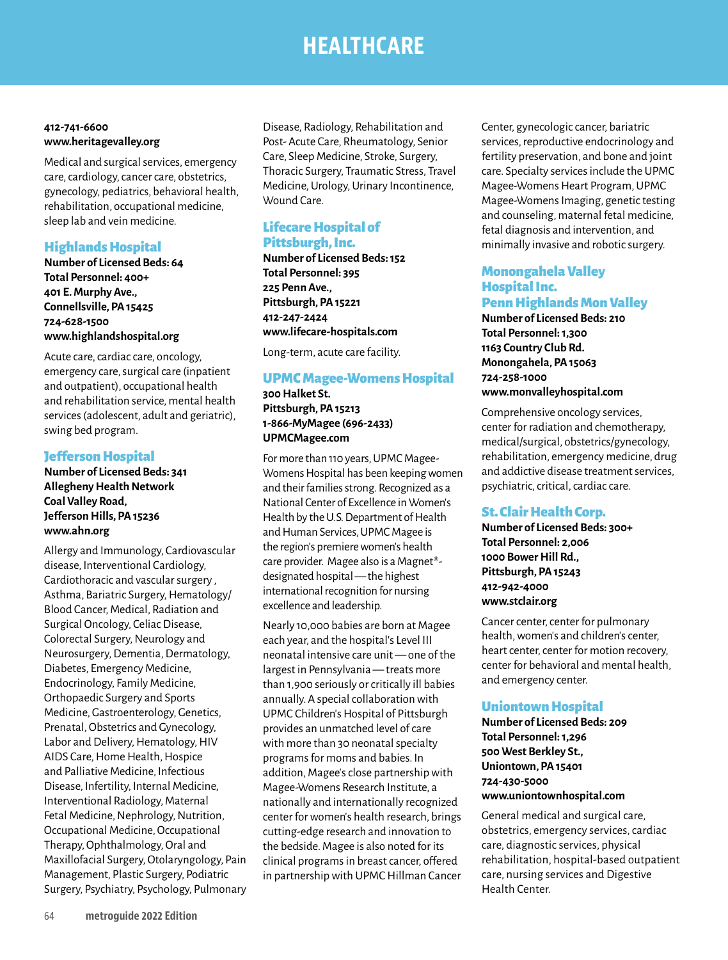# **HEALTHCARE**

#### **412-741-6600 www.heritagevalley.org**

Medical and surgical services, emergency care, cardiology, cancer care, obstetrics, gynecology, pediatrics, behavioral health, rehabilitation, occupational medicine, sleep lab and vein medicine.

### Highlands Hospital

**Number of Licensed Beds: 64 Total Personnel: 400+ 401 E. Murphy Ave., Connellsville, PA 15425 724-628-1500 www.highlandshospital.org**

Acute care, cardiac care, oncology, emergency care, surgical care (inpatient and outpatient), occupational health and rehabilitation service, mental health services (adolescent, adult and geriatric), swing bed program.

# Jefferson Hospital

**Number of Licensed Beds: 341 Allegheny Health Network Coal Valley Road, Jefferson Hills, PA 15236 www.ahn.org**

Allergy and Immunology, Cardiovascular disease, Interventional Cardiology, Cardiothoracic and vascular surgery , Asthma, Bariatric Surgery, Hematology/ Blood Cancer, Medical, Radiation and Surgical Oncology, Celiac Disease, Colorectal Surgery, Neurology and Neurosurgery, Dementia, Dermatology, Diabetes, Emergency Medicine, Endocrinology, Family Medicine, Orthopaedic Surgery and Sports Medicine, Gastroenterology, Genetics, Prenatal, Obstetrics and Gynecology, Labor and Delivery, Hematology, HIV AIDS Care, Home Health, Hospice and Palliative Medicine, Infectious Disease, Infertility, Internal Medicine, Interventional Radiology, Maternal Fetal Medicine, Nephrology, Nutrition, Occupational Medicine, Occupational Therapy, Ophthalmology, Oral and Maxillofacial Surgery, Otolaryngology, Pain Management, Plastic Surgery, Podiatric Surgery, Psychiatry, Psychology, Pulmonary

Disease, Radiology, Rehabilitation and Post- Acute Care, Rheumatology, Senior Care, Sleep Medicine, Stroke, Surgery, Thoracic Surgery, Traumatic Stress, Travel Medicine, Urology, Urinary Incontinence, Wound Care.

# Lifecare Hospital of Pittsburgh, Inc.

**Number of Licensed Beds: 152 Total Personnel: 395 225 Penn Ave., Pittsburgh, PA 15221 412-247-2424 www.lifecare-hospitals.com**

Long-term, acute care facility.

## UPMC Magee-Womens Hospital

**300 Halket St. Pittsburgh, PA 15213 1-866-MyMagee (696-2433) UPMCMagee.com**

For more than 110 years, UPMC Magee-Womens Hospital has been keeping women and their families strong. Recognized as a National Center of Excellence in Women's Health by the U.S. Department of Health and Human Services, UPMC Magee is the region's premiere women's health care provider. Magee also is a Magnet® designated hospital — the highest international recognition for nursing excellence and leadership.

Nearly 10,000 babies are born at Magee each year, and the hospital's Level III neonatal intensive care unit — one of the largest in Pennsylvania — treats more than 1,900 seriously or critically ill babies annually. A special collaboration with UPMC Children's Hospital of Pittsburgh provides an unmatched level of care with more than 30 neonatal specialty programs for moms and babies. In addition, Magee's close partnership with Magee-Womens Research Institute, a nationally and internationally recognized center for women's health research, brings cutting-edge research and innovation to the bedside. Magee is also noted for its clinical programs in breast cancer, offered in partnership with UPMC Hillman Cancer Center, gynecologic cancer, bariatric services, reproductive endocrinology and fertility preservation, and bone and joint care. Specialty services include the UPMC Magee-Womens Heart Program, UPMC Magee-Womens Imaging, genetic testing and counseling, maternal fetal medicine, fetal diagnosis and intervention, and minimally invasive and robotic surgery.

# Monongahela Valley Hospital Inc.

Penn Highlands Mon Valley

**Number of Licensed Beds: 210 Total Personnel: 1,300 1163 Country Club Rd. Monongahela, PA 15063 724-258-1000 www.monvalleyhospital.com**

Comprehensive oncology services, center for radiation and chemotherapy, medical/surgical, obstetrics/gynecology, rehabilitation, emergency medicine, drug and addictive disease treatment services, psychiatric, critical, cardiac care.

#### St. Clair Health Corp.

**Number of Licensed Beds: 300+ Total Personnel: 2,006 1000 Bower Hill Rd., Pittsburgh, PA 15243 412-942-4000 www.stclair.org**

Cancer center, center for pulmonary health, women's and children's center, heart center, center for motion recovery, center for behavioral and mental health, and emergency center.

#### Uniontown Hospital

**Number of Licensed Beds: 209 Total Personnel: 1,296 500 West Berkley St., Uniontown, PA 15401 724-430-5000 www.uniontownhospital.com**

General medical and surgical care, obstetrics, emergency services, cardiac care, diagnostic services, physical rehabilitation, hospital-based outpatient care, nursing services and Digestive Health Center.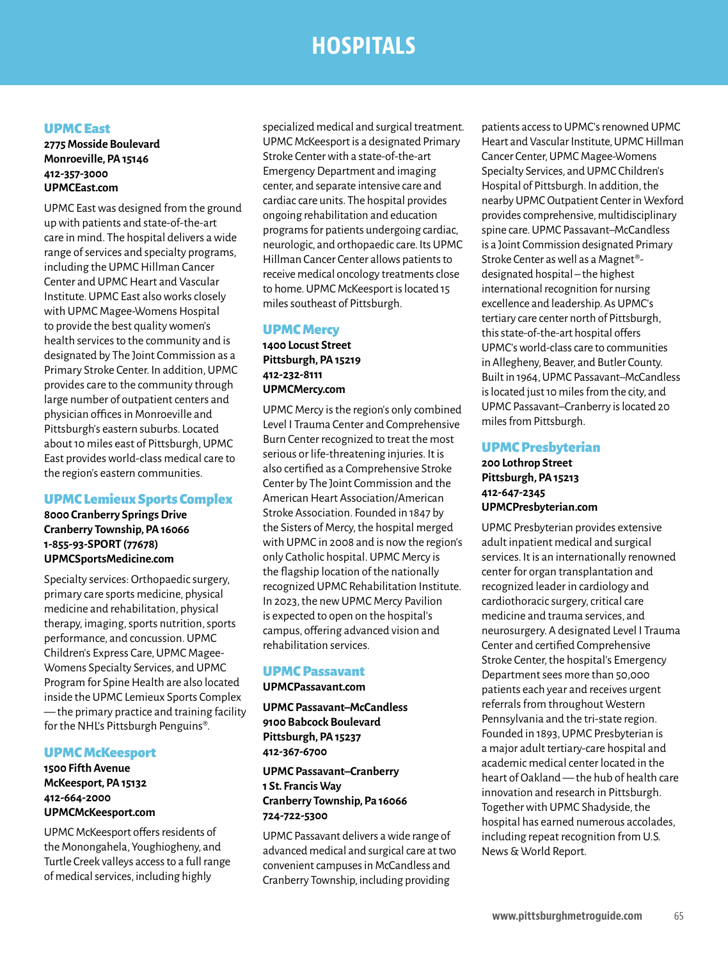#### UPMC East

**2775 Mosside Boulevard Monroeville, PA 15146 412-357-3000 UPMCEast.com**

UPMC East was designed from the ground up with patients and state-of-the-art care in mind. The hospital delivers a wide range of services and specialty programs, including the UPMC Hillman Cancer Center and UPMC Heart and Vascular Institute. UPMC East also works closely with UPMC Magee-Womens Hospital to provide the best quality women's health services to the community and is designated by The Joint Commission as a Primary Stroke Center. In addition, UPMC provides care to the community through large number of outpatient centers and physician offices in Monroeville and Pittsburgh's eastern suburbs. Located about 10 miles east of Pittsburgh, UPMC East provides world-class medical care to the region's eastern communities.

#### UPMC Lemieux Sports Complex

**8000 Cranberry Springs Drive Cranberry Township, PA 16066 1-855-93-SPORT (77678) UPMCSportsMedicine.com**

Specialty services: Orthopaedic surgery, primary care sports medicine, physical medicine and rehabilitation, physical therapy, imaging, sports nutrition, sports performance, and concussion. UPMC Children's Express Care, UPMC Magee-Womens Specialty Services, and UPMC Program for Spine Health are also located inside the UPMC Lemieux Sports Complex — the primary practice and training facility for the NHL's Pittsburgh Penguins®.

#### UPMC McKeesport

**1500 Fifth Avenue McKeesport, PA 15132 412-664-2000 UPMCMcKeesport.com**

UPMC McKeesport offers residents of the Monongahela, Youghiogheny, and Turtle Creek valleys access to a full range of medical services, including highly

specialized medical and surgical treatment. UPMC McKeesport is a designated Primary Stroke Center with a state-of-the-art Emergency Department and imaging center, and separate intensive care and cardiac care units. The hospital provides ongoing rehabilitation and education programs for patients undergoing cardiac, neurologic, and orthopaedic care. Its UPMC Hillman Cancer Center allows patients to receive medical oncology treatments close to home. UPMC McKeesport is located 15 miles southeast of Pittsburgh.

#### UPMC Mercy

**1400 Locust Street Pittsburgh, PA 15219 412-232-8111 UPMCMercy.com** 

UPMC Mercy is the region's only combined Level I Trauma Center and Comprehensive Burn Center recognized to treat the most serious or life-threatening injuries. It is also certified as a Comprehensive Stroke Center by The Joint Commission and the American Heart Association/American Stroke Association. Founded in 1847 by the Sisters of Mercy, the hospital merged with UPMC in 2008 and is now the region's only Catholic hospital. UPMC Mercy is the flagship location of the nationally recognized UPMC Rehabilitation Institute. In 2023, the new UPMC Mercy Pavilion is expected to open on the hospital's campus, offering advanced vision and rehabilitation services.

#### UPMC Passavant

**UPMCPassavant.com**

**UPMC Passavant–McCandless 9100 Babcock Boulevard Pittsburgh, PA 15237 412-367-6700**

**UPMC Passavant–Cranberry 1 St. Francis Way Cranberry Township, Pa 16066 724-722-5300**

UPMC Passavant delivers a wide range of advanced medical and surgical care at two convenient campuses in McCandless and Cranberry Township, including providing

patients access to UPMC's renowned UPMC Heart and Vascular Institute, UPMC Hillman Cancer Center, UPMC Magee-Womens Specialty Services, and UPMC Children's Hospital of Pittsburgh. In addition, the nearby UPMC Outpatient Center in Wexford provides comprehensive, multidisciplinary spine care. UPMC Passavant–McCandless is a Joint Commission designated Primary Stroke Center as well as a Magnet® designated hospital – the highest international recognition for nursing excellence and leadership. As UPMC's tertiary care center north of Pittsburgh, this state-of-the-art hospital offers UPMC's world-class care to communities in Allegheny, Beaver, and Butler County. Built in 1964, UPMC Passavant–McCandless is located just 10 miles from the city, and UPMC Passavant–Cranberry is located 20 miles from Pittsburgh.

#### UPMC Presbyterian

**200 Lothrop Street Pittsburgh, PA 15213 412-647-2345 UPMCPresbyterian.com**

UPMC Presbyterian provides extensive adult inpatient medical and surgical services. It is an internationally renowned center for organ transplantation and recognized leader in cardiology and cardiothoracic surgery, critical care medicine and trauma services, and neurosurgery. A designated Level I Trauma Center and certified Comprehensive Stroke Center, the hospital's Emergency Department sees more than 50,000 patients each year and receives urgent referrals from throughout Western Pennsylvania and the tri-state region. Founded in 1893, UPMC Presbyterian is a major adult tertiary-care hospital and academic medical center located in the heart of Oakland — the hub of health care innovation and research in Pittsburgh. Together with UPMC Shadyside, the hospital has earned numerous accolades, including repeat recognition from U.S. News & World Report.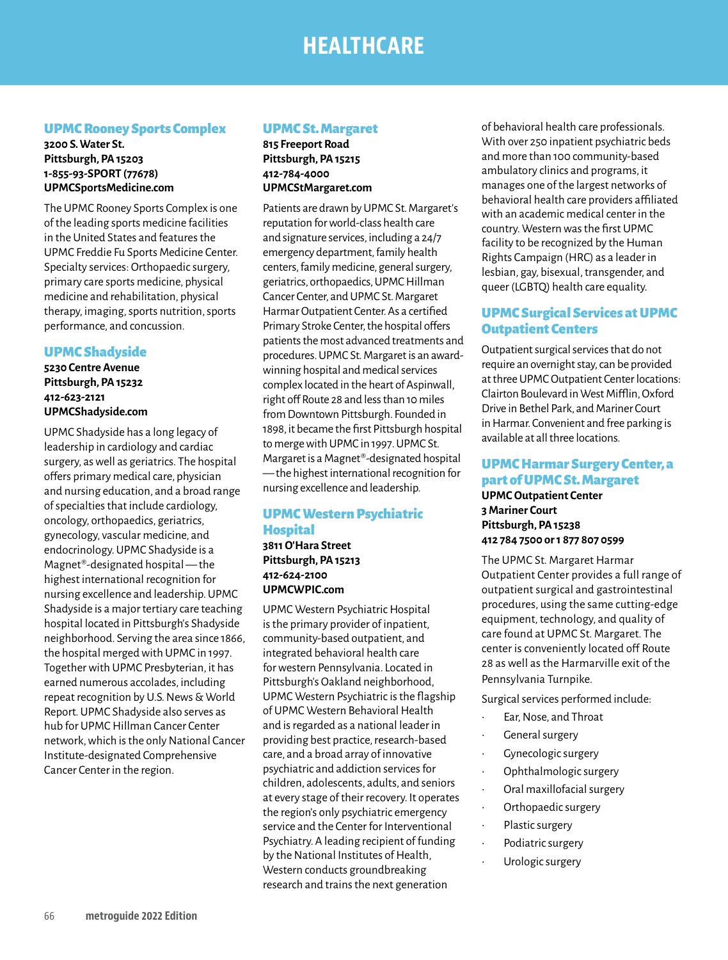# **HEALTHCARE**

### UPMC Rooney Sports Complex

#### **3200 S. Water St. Pittsburgh, PA 15203 1-855-93-SPORT (77678) UPMCSportsMedicine.com**

The UPMC Rooney Sports Complex is one of the leading sports medicine facilities in the United States and features the UPMC Freddie Fu Sports Medicine Center. Specialty services: Orthopaedic surgery, primary care sports medicine, physical medicine and rehabilitation, physical therapy, imaging, sports nutrition, sports performance, and concussion.

# UPMC Shadyside

**5230 Centre Avenue Pittsburgh, PA 15232 412-623-2121 UPMCShadyside.com**

UPMC Shadyside has a long legacy of leadership in cardiology and cardiac surgery, as well as geriatrics. The hospital offers primary medical care, physician and nursing education, and a broad range of specialties that include cardiology, oncology, orthopaedics, geriatrics, gynecology, vascular medicine, and endocrinology. UPMC Shadyside is a Magnet®-designated hospital — the highest international recognition for nursing excellence and leadership. UPMC Shadyside is a major tertiary care teaching hospital located in Pittsburgh's Shadyside neighborhood. Serving the area since 1866, the hospital merged with UPMC in 1997. Together with UPMC Presbyterian, it has earned numerous accolades, including repeat recognition by U.S. News & World Report. UPMC Shadyside also serves as hub for UPMC Hillman Cancer Center network, which is the only National Cancer Institute-designated Comprehensive Cancer Center in the region.

# UPMC St. Margaret

**815 Freeport Road Pittsburgh, PA 15215 412-784-4000 UPMCStMargaret.com**

Patients are drawn by UPMC St. Margaret's reputation for world-class health care and signature services, including a 24/7 emergency department, family health centers, family medicine, general surgery, geriatrics, orthopaedics, UPMC Hillman Cancer Center, and UPMC St. Margaret Harmar Outpatient Center. As a certified Primary Stroke Center, the hospital offers patients the most advanced treatments and procedures. UPMC St. Margaret is an awardwinning hospital and medical services complex located in the heart of Aspinwall, right off Route 28 and less than 10 miles from Downtown Pittsburgh. Founded in 1898, it became the first Pittsburgh hospital to merge with UPMC in 1997. UPMC St. Margaret is a Magnet®-designated hospital — the highest international recognition for nursing excellence and leadership.

# UPMC Western Psychiatric Hospital

**3811 O'Hara Street Pittsburgh, PA 15213 412-624-2100 UPMCWPIC.com**

UPMC Western Psychiatric Hospital is the primary provider of inpatient, community-based outpatient, and integrated behavioral health care for western Pennsylvania. Located in Pittsburgh's Oakland neighborhood, UPMC Western Psychiatric is the flagship of UPMC Western Behavioral Health and is regarded as a national leader in providing best practice, research-based care, and a broad array of innovative psychiatric and addiction services for children, adolescents, adults, and seniors at every stage of their recovery. It operates the region's only psychiatric emergency service and the Center for Interventional Psychiatry. A leading recipient of funding by the National Institutes of Health, Western conducts groundbreaking research and trains the next generation

of behavioral health care professionals. With over 250 inpatient psychiatric beds and more than 100 community-based ambulatory clinics and programs, it manages one of the largest networks of behavioral health care providers affiliated with an academic medical center in the country. Western was the first UPMC facility to be recognized by the Human Rights Campaign (HRC) as a leader in lesbian, gay, bisexual, transgender, and queer (LGBTQ) health care equality.

# UPMC Surgical Services at UPMC Outpatient Centers

Outpatient surgical services that do not require an overnight stay, can be provided at three UPMC Outpatient Center locations: Clairton Boulevard in West Mifflin, Oxford Drive in Bethel Park, and Mariner Court in Harmar. Convenient and free parking is available at all three locations.

# UPMC Harmar Surgery Center, a part of UPMC St. Margaret

**UPMC Outpatient Center 3 Mariner Court Pittsburgh, PA 15238 412 784 7500 or 1 877 807 0599**

The UPMC St. Margaret Harmar Outpatient Center provides a full range of outpatient surgical and gastrointestinal procedures, using the same cutting-edge equipment, technology, and quality of care found at UPMC St. Margaret. The center is conveniently located off Route 28 as well as the Harmarville exit of the Pennsylvania Turnpike.

Surgical services performed include:

- Ear, Nose, and Throat
- General surgery
- Gynecologic surgery
- Ophthalmologic surgery
- Oral maxillofacial surgery
- Orthopaedic surgery
- Plastic surgery
- Podiatric surgery
- Urologic surgery